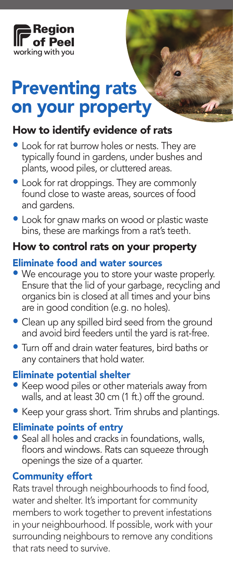

# Preventing rats on your property

## How to identify evidence of rats

- Look for rat burrow holes or nests. They are typically found in gardens, under bushes and plants, wood piles, or cluttered areas.
- Look for rat droppings. They are commonly found close to waste areas, sources of food and gardens.
- Look for gnaw marks on wood or plastic waste bins, these are markings from a rat's teeth.

#### How to control rats on your property

#### Eliminate food and water sources

- We encourage you to store your waste properly. Ensure that the lid of your garbage, recycling and organics bin is closed at all times and your bins are in good condition (e.g. no holes).
- Clean up any spilled bird seed from the ground and avoid bird feeders until the yard is rat-free.
- Turn off and drain water features, bird baths or any containers that hold water.

#### Eliminate potential shelter

- Keep wood piles or other materials away from walls, and at least 30 cm (1 ft.) off the ground.
- Keep your grass short. Trim shrubs and plantings.

#### Eliminate points of entry

• Seal all holes and cracks in foundations, walls, floors and windows. Rats can squeeze through openings the size of a quarter.

#### Community effort

Rats travel through neighbourhoods to find food, water and shelter. It's important for community members to work together to prevent infestations in your neighbourhood. If possible, work with your surrounding neighbours to remove any conditions that rats need to survive.